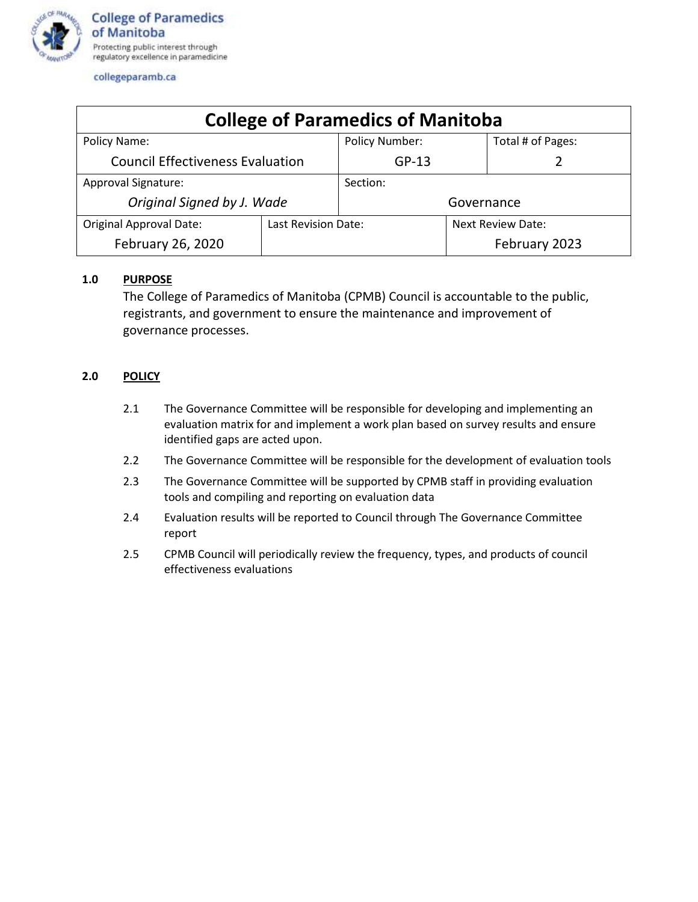

collegeparamb.ca

| <b>College of Paramedics of Manitoba</b> |                     |                |                          |                   |  |  |  |
|------------------------------------------|---------------------|----------------|--------------------------|-------------------|--|--|--|
| Policy Name:                             |                     | Policy Number: |                          | Total # of Pages: |  |  |  |
| <b>Council Effectiveness Evaluation</b>  |                     | $GP-13$        |                          |                   |  |  |  |
| Approval Signature:                      |                     | Section:       |                          |                   |  |  |  |
| Original Signed by J. Wade               |                     | Governance     |                          |                   |  |  |  |
| <b>Original Approval Date:</b>           | Last Revision Date: |                | <b>Next Review Date:</b> |                   |  |  |  |
| February 26, 2020                        |                     |                |                          | February 2023     |  |  |  |

## **1.0 PURPOSE**

The College of Paramedics of Manitoba (CPMB) Council is accountable to the public, registrants, and government to ensure the maintenance and improvement of governance processes.

## **2.0 POLICY**

- 2.1 The Governance Committee will be responsible for developing and implementing an evaluation matrix for and implement a work plan based on survey results and ensure identified gaps are acted upon.
- 2.2 The Governance Committee will be responsible for the development of evaluation tools
- 2.3 The Governance Committee will be supported by CPMB staff in providing evaluation tools and compiling and reporting on evaluation data
- 2.4 Evaluation results will be reported to Council through The Governance Committee report
- 2.5 CPMB Council will periodically review the frequency, types, and products of council effectiveness evaluations